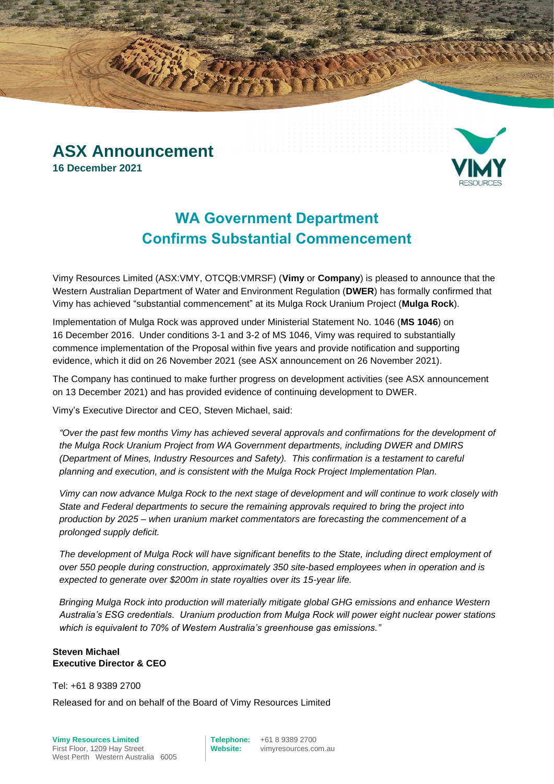### **ASX Announcement 16 December 2021**



## **WA Government Department Confirms Substantial Commencement**

Vimy Resources Limited (ASX:VMY, OTCQB:VMRSF) (**Vimy** or **Company**) is pleased to announce that the Western Australian Department of Water and Environment Regulation (**DWER**) has formally confirmed that Vimy has achieved "substantial commencement" at its Mulga Rock Uranium Project (**Mulga Rock**).

Implementation of Mulga Rock was approved under Ministerial Statement No. 1046 (**MS 1046**) on 16 December 2016. Under conditions 3-1 and 3-2 of MS 1046, Vimy was required to substantially commence implementation of the Proposal within five years and provide notification and supporting evidence, which it did on 26 November 2021 (see ASX announcement on 26 November 2021).

The Company has continued to make further progress on development activities (see ASX announcement on 13 December 2021) and has provided evidence of continuing development to DWER.

Vimy's Executive Director and CEO, Steven Michael, said:

*"Over the past few months Vimy has achieved several approvals and confirmations for the development of the Mulga Rock Uranium Project from WA Government departments, including DWER and DMIRS (Department of Mines, Industry Resources and Safety). This confirmation is a testament to careful planning and execution, and is consistent with the Mulga Rock Project Implementation Plan.*

*Vimy can now advance Mulga Rock to the next stage of development and will continue to work closely with State and Federal departments to secure the remaining approvals required to bring the project into production by 2025 – when uranium market commentators are forecasting the commencement of a prolonged supply deficit.*

*The development of Mulga Rock will have significant benefits to the State, including direct employment of over 550 people during construction, approximately 350 site-based employees when in operation and is expected to generate over \$200m in state royalties over its 15-year life.*

*Bringing Mulga Rock into production will materially mitigate global GHG emissions and enhance Western Australia's ESG credentials. Uranium production from Mulga Rock will power eight nuclear power stations which is equivalent to 70% of Western Australia's greenhouse gas emissions."*

#### **Steven Michael Executive Director & CEO**

#### Tel: +61 8 9389 2700

Released for and on behalf of the Board of Vimy Resources Limited